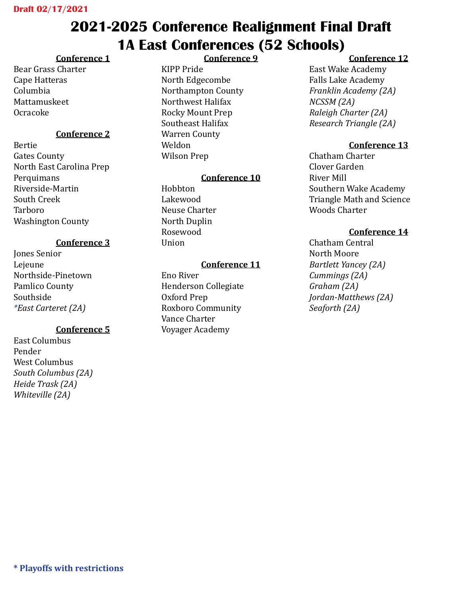# **2021-2025 Conference Realignment Final Draft 1A East Conferences (52 Schools)**

### **Conference 1**

Bear Grass Charter Cape Hatteras Columbia Mattamuskeet Ocracoke

### **Conference 2**

Bertie Gates County North East Carolina Prep Perquimans Riverside-Martin South Creek Tarboro Washington County

### **Conference 3**

Jones Senior Lejeune Northside-Pinetown Pamlico County Southside *\*East Carteret (2A)*

### **Conference 5**

East Columbus Pender West Columbus *South Columbus (2A) Heide Trask (2A) Whiteville (2A)* 

### **Conference 9**

KIPP Pride North Edgecombe Northampton County Northwest Halifax Rocky Mount Prep Southeast Halifax Warren County Weldon Wilson Prep

### **Conference 10**

Hobbton Lakewood Neuse Charter North Duplin Rosewood Union

#### **Conference 11**

Eno River Henderson Collegiate Oxford Prep Roxboro Community Vance Charter Voyager Academy

### **Conference 12**

East Wake Academy Falls Lake Academy *Franklin Academy (2A) NCSSM (2A) Raleigh Charter (2A) Research Triangle (2A)* 

### **Conference 13**

Chatham Charter Clover Garden River Mill Southern Wake Academy Triangle Math and Science Woods Charter

### **Conference 14**

Chatham Central North Moore *Bartlett Yancey (2A) Cummings (2A) Graham (2A) Jordan-Matthews (2A) Seaforth (2A)*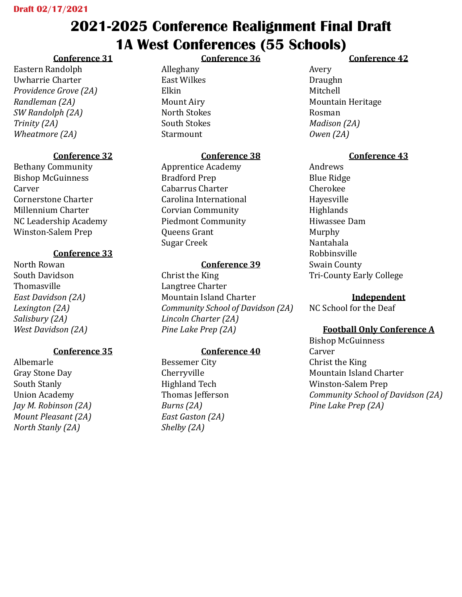# **2021-2025 Conference Realignment Final Draft 1A West Conferences (55 Schools) Conference 36**

## **Conference 31**

Eastern Randolph Uwharrie Charter *Providence Grove (2A) Randleman (2A) SW Randolph (2A) Trinity (2A) Wheatmore (2A)*

## **Conference 32**

Bethany Community Bishop McGuinness **Carver** Cornerstone Charter Millennium Charter NC Leadership Academy Winston-Salem Prep

## **Conference 33**

North Rowan South Davidson Thomasville *East Davidson (2A) Lexington (2A) Salisbury (2A) West Davidson (2A)*

## **Conference 35**

Albemarle Gray Stone Day South Stanly Union Academy *Jay M. Robinson (2A) Mount Pleasant (2A) North Stanly (2A)*

Alleghany East Wilkes Elkin Mount Airy North Stokes South Stokes Starmount

## **Conference 38**

Apprentice Academy Bradford Prep Cabarrus Charter Carolina International Corvian Community Piedmont Community Queens Grant Sugar Creek

## **Conference 39**

Christ the King Langtree Charter Mountain Island Charter *Community School of Davidson (2A) Lincoln Charter (2A) Pine Lake Prep (2A)*

## **Conference 40**

Bessemer City Cherryville Highland Tech Thomas Jefferson *Burns (2A) East Gaston (2A) Shelby (2A)*

## **Conference 42**

Avery Draughn Mitchell Mountain Heritage Rosman *Madison (2A) Owen (2A)*

## **Conference 43**

Andrews Blue Ridge Cherokee Hayesville **Highlands** Hiwassee Dam Murphy Nantahala Robbinsville Swain County Tri-County Early College

### **Independent**

NC School for the Deaf

## **Football Only Conference A**

Bishop McGuinness Carver Christ the King Mountain Island Charter Winston-Salem Prep *Community School of Davidson (2A) Pine Lake Prep (2A)*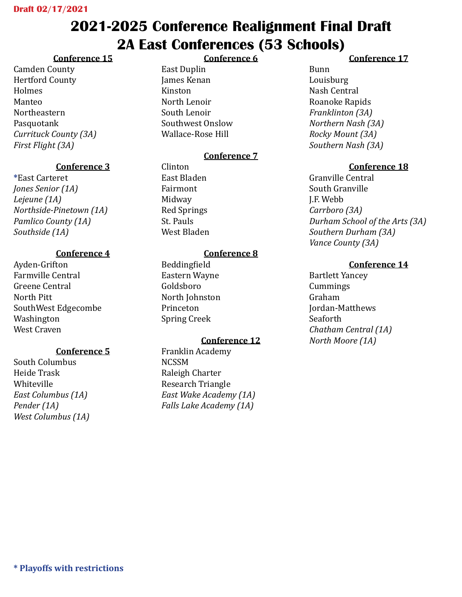## **2021-2025 Conference Realignment Final Draft 2A East Conferences (53 Schools) Conference 6**

## **Conference 15**

Camden County Hertford County Holmes Manteo Northeastern Pasquotank *Currituck County (3A) First Flight (3A)*

## **Conference 3**

**\***East Carteret *Jones Senior (1A) Lejeune (1A) Northside-Pinetown (1A) Pamlico County (1A) Southside (1A)*

## **Conference 4**

Ayden-Grifton Farmville Central Greene Central North Pitt SouthWest Edgecombe Washington West Craven

## **Conference 5**

South Columbus Heide Trask Whiteville *East Columbus (1A) Pender (1A) West Columbus (1A)*

### East Duplin James Kenan Kinston North Lenoir South Lenoir Southwest Onslow Wallace-Rose Hill

## **Conference 7**

Clinton East Bladen Fairmont Midway Red Springs St. Pauls West Bladen

## **Conference 8**

Beddingfield Eastern Wayne Goldsboro North Johnston Princeton Spring Creek

## **Conference 12**

Franklin Academy NCSSM Raleigh Charter Research Triangle *East Wake Academy (1A) Falls Lake Academy (1A)*

## **Conference 17**

Bunn Louisburg Nash Central Roanoke Rapids *Franklinton (3A) Northern Nash (3A) Rocky Mount (3A) Southern Nash (3A)*

## **Conference 18**

Granville Central South Granville J.F. Webb *Carrboro (3A) Durham School of the Arts (3A) Southern Durham (3A) Vance County (3A)*

## **Conference 14**

Bartlett Yancey Cummings Graham Jordan-Matthews Seaforth *Chatham Central (1A) North Moore (1A)*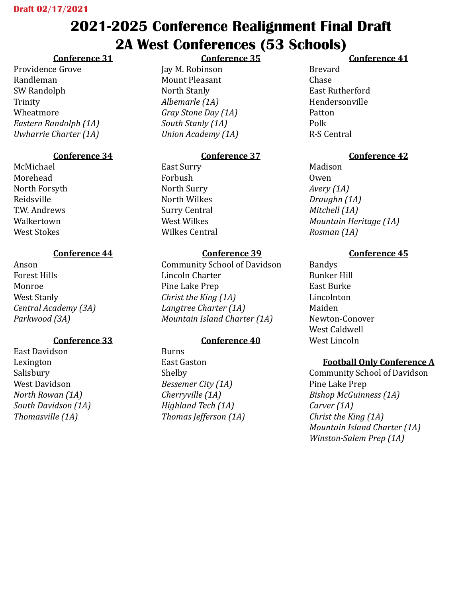# **2021-2025 Conference Realignment Final Draft 2A West Conferences (53 Schools) Conference 35**

## **Conference 31**

Providence Grove Randleman SW Randolph Trinity Wheatmore *Eastern Randolph (1A) Uwharrie Charter (1A)*

## **Conference 34**

McMichael Morehead North Forsyth Reidsville T.W. Andrews Walkertown West Stokes

## **Conference 44**

Anson Forest Hills Monroe West Stanly *Central Academy (3A) Parkwood (3A)*

## **Conference 33**

East Davidson Lexington Salisbury West Davidson *North Rowan (1A) South Davidson (1A) Thomasville (1A)*

Jay M. Robinson Mount Pleasant North Stanly *Albemarle (1A) Gray Stone Day (1A) South Stanly (1A) Union Academy (1A)*

## **Conference 37**

East Surry Forbush North Surry North Wilkes Surry Central West Wilkes Wilkes Central

## **Conference 39**

Community School of Davidson Lincoln Charter Pine Lake Prep *Christ the King (1A) Langtree Charter (1A) Mountain Island Charter (1A)*

## **Conference 40**

Burns East Gaston Shelby *Bessemer City (1A) Cherryville (1A) Highland Tech (1A) Thomas Jefferson (1A)*

## **Conference 41**

Brevard Chase East Rutherford Hendersonville Patton Polk R-S Central

## **Conference 42**

Madison Owen *Avery (1A) Draughn (1A) Mitchell (1A) Mountain Heritage (1A) Rosman (1A)*

## **Conference 45**

Bandys Bunker Hill East Burke Lincolnton Maiden Newton-Conover West Caldwell West Lincoln

## **Football Only Conference A**

Community School of Davidson Pine Lake Prep *Bishop McGuinness (1A) Carver (1A) Christ the King (1A) Mountain Island Charter (1A) Winston-Salem Prep (1A)*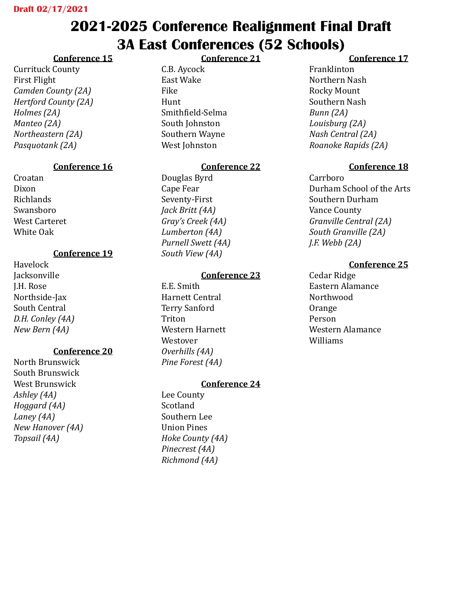# **2021-2025 Conference Realignment Final Draft 3A East Conferences (52 Schools)**

**Conference 21**

## **Conference 15**

Currituck County First Flight *Camden County (2A) Hertford County (2A) Holmes (2A) Manteo (2A) Northeastern (2A) Pasquotank (2A)*

## **Conference 16**

Croatan Dixon Richlands Swansboro West Carteret White Oak

## **Conference 19**

Havelock **Jacksonville** J.H. Rose Northside-Jax South Central *D.H. Conley (4A) New Bern (4A)*

## **Conference 20**

North Brunswick South Brunswick West Brunswick *Ashley (4A) Hoggard (4A) Laney (4A) New Hanover (4A) Topsail (4A)*

C.B. Aycock East Wake Fike Hunt Smithfield-Selma South Johnston Southern Wayne West Johnston

## **Conference 22**

Douglas Byrd Cape Fear Seventy-First *Jack Britt (4A) Gray's Creek (4A) Lumberton (4A) Purnell Swett (4A) South View (4A)*

## **Conference 23**

E.E. Smith Harnett Central Terry Sanford Triton Western Harnett Westover *Overhills (4A) Pine Forest (4A)*

## **Conference 24**

Lee County Scotland Southern Lee Union Pines *Hoke County (4A) Pinecrest (4A) Richmond (4A)*

## **Conference 17**

Franklinton Northern Nash Rocky Mount Southern Nash *Bunn (2A) Louisburg (2A) Nash Central (2A) Roanoke Rapids (2A)*

## **Conference 18**

Carrboro Durham School of the Arts Southern Durham Vance County *Granville Central (2A) South Granville (2A) J.F. Webb (2A)*

## **Conference 25**

Cedar Ridge Eastern Alamance Northwood Orange Person Western Alamance Williams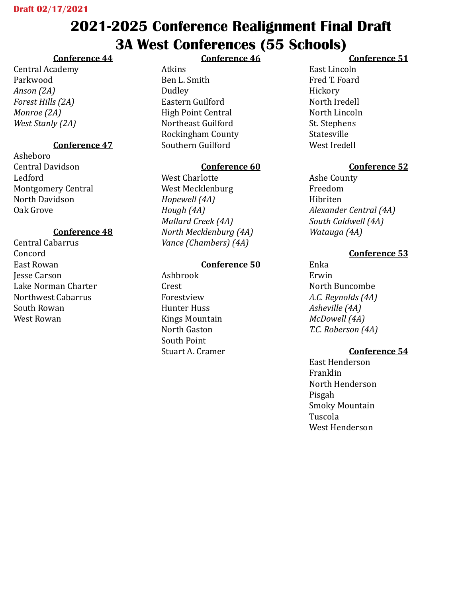# **2021-2025 Conference Realignment Final Draft 3A West Conferences (55 Schools)**

## **Conference 44**

Central Academy Parkwood *Anson (2A) Forest Hills (2A) Monroe (2A) West Stanly (2A)*

## **Conference 47**

Asheboro Central Davidson Ledford Montgomery Central North Davidson Oak Grove

### **Conference 48**

Central Cabarrus Concord East Rowan Jesse Carson Lake Norman Charter Northwest Cabarrus South Rowan West Rowan

### **Conference 46**

Atkins Ben L. Smith Dudley Eastern Guilford High Point Central Northeast Guilford Rockingham County Southern Guilford

### **Conference 60**

West Charlotte West Mecklenburg *Hopewell (4A) Hough (4A) Mallard Creek (4A) North Mecklenburg (4A) Vance (Chambers) (4A)*

### **Conference 50**

Ashbrook Crest Forestview Hunter Huss Kings Mountain North Gaston South Point Stuart A. Cramer

### **Conference 51**

East Lincoln Fred T. Foard Hickory North Iredell North Lincoln St. Stephens Statesville West Iredell

### **Conference 52**

Ashe County Freedom Hibriten *Alexander Central (4A) South Caldwell (4A) Watauga (4A)*

### **Conference 53**

Enka Erwin North Buncombe *A.C. Reynolds (4A) Asheville (4A) McDowell (4A) T.C. Roberson (4A)*

### **Conference 54**

East Henderson Franklin North Henderson Pisgah Smoky Mountain Tuscola West Henderson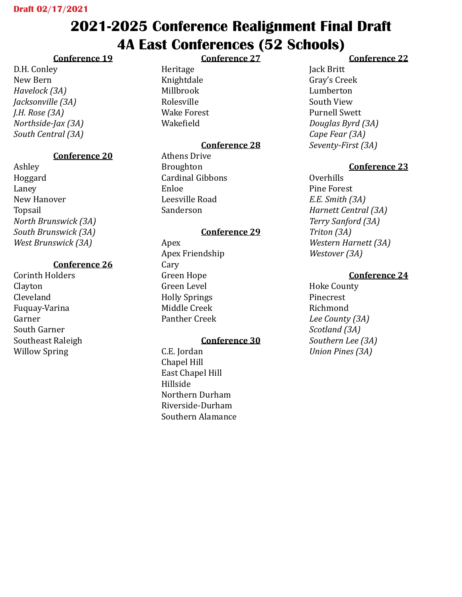# **2021-2025 Conference Realignment Final Draft 4A East Conferences (52 Schools) Conference 27**

## **Conference 19**

D.H. Conley New Bern *Havelock (3A) Jacksonville (3A) J.H. Rose (3A) Northside-Jax (3A) South Central (3A)*

## **Conference 20**

Ashley Hoggard Laney New Hanover Topsail *North Brunswick (3A) South Brunswick (3A) West Brunswick (3A)*

## **Conference 26**

Corinth Holders Clayton Cleveland Fuquay-Varina Garner South Garner Southeast Raleigh Willow Spring

Heritage Knightdale Millbrook Rolesville Wake Forest Wakefield

## **Conference 28**

Athens Drive Broughton Cardinal Gibbons Enloe Leesville Road Sanderson

### **Conference 29**

Apex Apex Friendship Cary Green Hope Green Level Holly Springs Middle Creek Panther Creek

### **Conference 30**

C.E. Jordan Chapel Hill East Chapel Hill Hillside Northern Durham Riverside-Durham Southern Alamance

### **Conference 22**

Jack Britt Gray's Creek Lumberton South View Purnell Swett *Douglas Byrd (3A) Cape Fear (3A) Seventy-First (3A)*

### **Conference 23**

Overhills Pine Forest *E.E. Smith (3A) Harnett Central (3A) Terry Sanford (3A) Triton (3A) Western Harnett (3A) Westover (3A)*

### **Conference 24**

Hoke County Pinecrest Richmond *Lee County (3A) Scotland (3A) Southern Lee (3A) Union Pines (3A)*